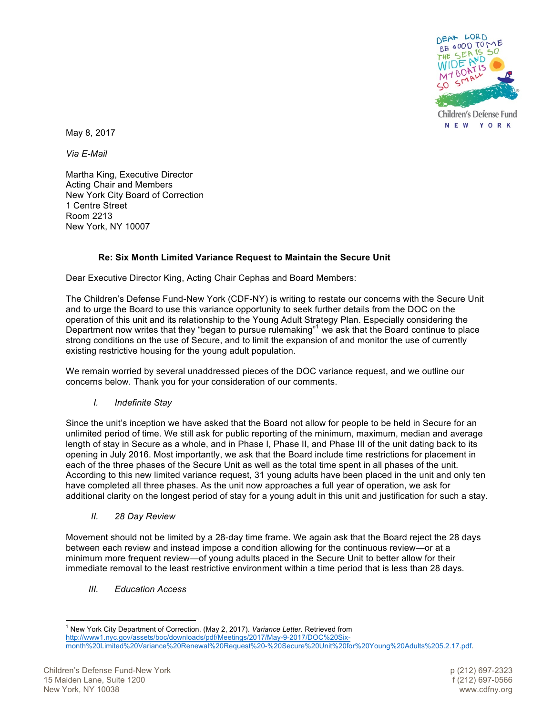

May 8, 2017

*Via E-Mail*

Martha King, Executive Director Acting Chair and Members New York City Board of Correction 1 Centre Street Room 2213 New York, NY 10007

## **Re: Six Month Limited Variance Request to Maintain the Secure Unit**

Dear Executive Director King, Acting Chair Cephas and Board Members:

The Children's Defense Fund-New York (CDF-NY) is writing to restate our concerns with the Secure Unit and to urge the Board to use this variance opportunity to seek further details from the DOC on the operation of this unit and its relationship to the Young Adult Strategy Plan. Especially considering the Department now writes that they "began to pursue rulemaking"<sup>1</sup> we ask that the Board continue to place strong conditions on the use of Secure, and to limit the expansion of and monitor the use of currently existing restrictive housing for the young adult population.

We remain worried by several unaddressed pieces of the DOC variance request, and we outline our concerns below. Thank you for your consideration of our comments.

*I. Indefinite Stay*

Since the unit's inception we have asked that the Board not allow for people to be held in Secure for an unlimited period of time. We still ask for public reporting of the minimum, maximum, median and average length of stay in Secure as a whole, and in Phase I, Phase II, and Phase III of the unit dating back to its opening in July 2016. Most importantly, we ask that the Board include time restrictions for placement in each of the three phases of the Secure Unit as well as the total time spent in all phases of the unit. According to this new limited variance request, 31 young adults have been placed in the unit and only ten have completed all three phases. As the unit now approaches a full year of operation, we ask for additional clarity on the longest period of stay for a young adult in this unit and justification for such a stay.

*II. 28 Day Review*

Movement should not be limited by a 28-day time frame. We again ask that the Board reject the 28 days between each review and instead impose a condition allowing for the continuous review—or at a minimum more frequent review—of young adults placed in the Secure Unit to better allow for their immediate removal to the least restrictive environment within a time period that is less than 28 days.

*III. Education Access*

 

<sup>1</sup> New York City Department of Correction. (May 2, 2017). *Variance Letter.* Retrieved from http://www1.nyc.gov/assets/boc/downloads/pdf/Meetings/2017/May-9-2017/DOC%20Sixmonth%20Limited%20Variance%20Renewal%20Request%20-%20Secure%20Unit%20for%20Young%20Adults%205.2.17.pdf.